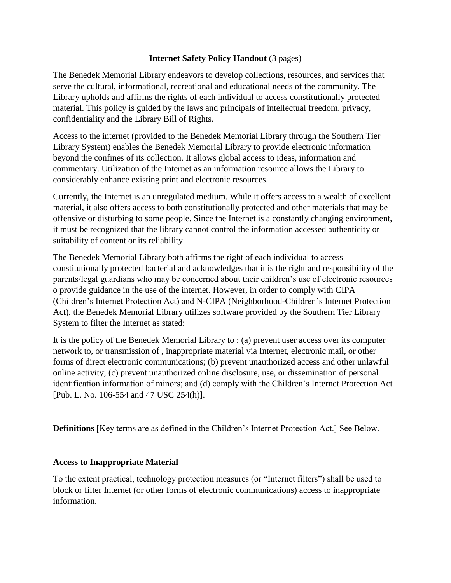### **Internet Safety Policy Handout** (3 pages)

The Benedek Memorial Library endeavors to develop collections, resources, and services that serve the cultural, informational, recreational and educational needs of the community. The Library upholds and affirms the rights of each individual to access constitutionally protected material. This policy is guided by the laws and principals of intellectual freedom, privacy, confidentiality and the Library Bill of Rights.

Access to the internet (provided to the Benedek Memorial Library through the Southern Tier Library System) enables the Benedek Memorial Library to provide electronic information beyond the confines of its collection. It allows global access to ideas, information and commentary. Utilization of the Internet as an information resource allows the Library to considerably enhance existing print and electronic resources.

Currently, the Internet is an unregulated medium. While it offers access to a wealth of excellent material, it also offers access to both constitutionally protected and other materials that may be offensive or disturbing to some people. Since the Internet is a constantly changing environment, it must be recognized that the library cannot control the information accessed authenticity or suitability of content or its reliability.

The Benedek Memorial Library both affirms the right of each individual to access constitutionally protected bacterial and acknowledges that it is the right and responsibility of the parents/legal guardians who may be concerned about their children's use of electronic resources o provide guidance in the use of the internet. However, in order to comply with CIPA (Children's Internet Protection Act) and N-CIPA (Neighborhood-Children's Internet Protection Act), the Benedek Memorial Library utilizes software provided by the Southern Tier Library System to filter the Internet as stated:

It is the policy of the Benedek Memorial Library to : (a) prevent user access over its computer network to, or transmission of , inappropriate material via Internet, electronic mail, or other forms of direct electronic communications; (b) prevent unauthorized access and other unlawful online activity; (c) prevent unauthorized online disclosure, use, or dissemination of personal identification information of minors; and (d) comply with the Children's Internet Protection Act [Pub. L. No. 106-554 and 47 USC 254(h)].

**Definitions** [Key terms are as defined in the Children's Internet Protection Act.] See Below.

# **Access to Inappropriate Material**

To the extent practical, technology protection measures (or "Internet filters") shall be used to block or filter Internet (or other forms of electronic communications) access to inappropriate information.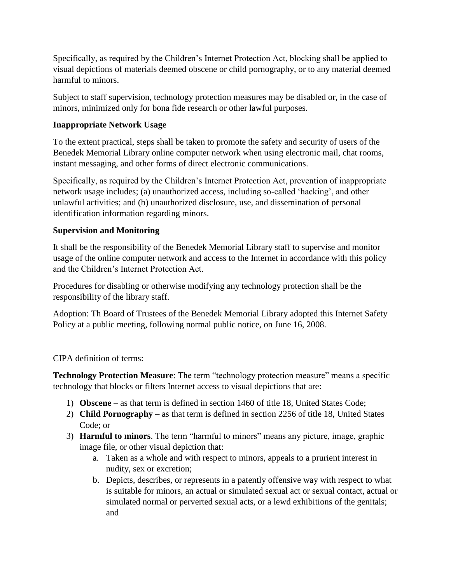Specifically, as required by the Children's Internet Protection Act, blocking shall be applied to visual depictions of materials deemed obscene or child pornography, or to any material deemed harmful to minors.

Subject to staff supervision, technology protection measures may be disabled or, in the case of minors, minimized only for bona fide research or other lawful purposes.

## **Inappropriate Network Usage**

To the extent practical, steps shall be taken to promote the safety and security of users of the Benedek Memorial Library online computer network when using electronic mail, chat rooms, instant messaging, and other forms of direct electronic communications.

Specifically, as required by the Children's Internet Protection Act, prevention of inappropriate network usage includes; (a) unauthorized access, including so-called 'hacking', and other unlawful activities; and (b) unauthorized disclosure, use, and dissemination of personal identification information regarding minors.

## **Supervision and Monitoring**

It shall be the responsibility of the Benedek Memorial Library staff to supervise and monitor usage of the online computer network and access to the Internet in accordance with this policy and the Children's Internet Protection Act.

Procedures for disabling or otherwise modifying any technology protection shall be the responsibility of the library staff.

Adoption: Th Board of Trustees of the Benedek Memorial Library adopted this Internet Safety Policy at a public meeting, following normal public notice, on June 16, 2008.

# CIPA definition of terms:

**Technology Protection Measure**: The term "technology protection measure" means a specific technology that blocks or filters Internet access to visual depictions that are:

- 1) **Obscene** as that term is defined in section 1460 of title 18, United States Code;
- 2) **Child Pornography** as that term is defined in section 2256 of title 18, United States Code; or
- 3) **Harmful to minors**. The term "harmful to minors" means any picture, image, graphic image file, or other visual depiction that:
	- a. Taken as a whole and with respect to minors, appeals to a prurient interest in nudity, sex or excretion;
	- b. Depicts, describes, or represents in a patently offensive way with respect to what is suitable for minors, an actual or simulated sexual act or sexual contact, actual or simulated normal or perverted sexual acts, or a lewd exhibitions of the genitals; and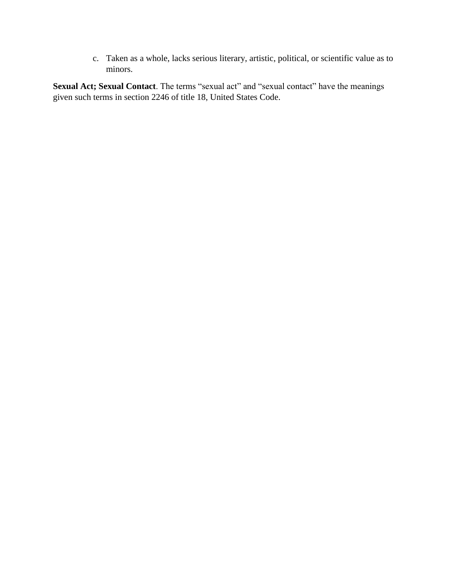c. Taken as a whole, lacks serious literary, artistic, political, or scientific value as to minors.

**Sexual Act; Sexual Contact**. The terms "sexual act" and "sexual contact" have the meanings given such terms in section 2246 of title 18, United States Code.